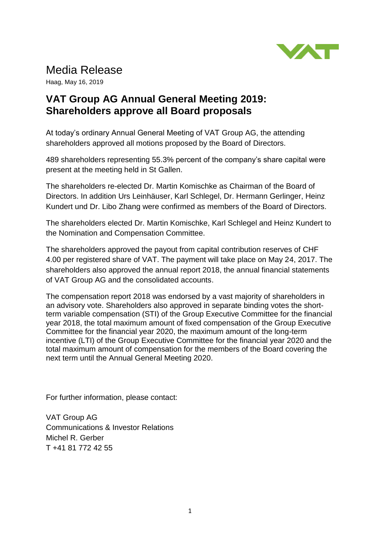

## Media Release

Haag, May 16, 2019

## **VAT Group AG Annual General Meeting 2019: Shareholders approve all Board proposals**

At today's ordinary Annual General Meeting of VAT Group AG, the attending shareholders approved all motions proposed by the Board of Directors.

489 shareholders representing 55.3% percent of the company's share capital were present at the meeting held in St Gallen.

The shareholders re-elected Dr. Martin Komischke as Chairman of the Board of Directors. In addition Urs Leinhäuser, Karl Schlegel, Dr. Hermann Gerlinger, Heinz Kundert und Dr. Libo Zhang were confirmed as members of the Board of Directors.

The shareholders elected Dr. Martin Komischke, Karl Schlegel and Heinz Kundert to the Nomination and Compensation Committee.

The shareholders approved the payout from capital contribution reserves of CHF 4.00 per registered share of VAT. The payment will take place on May 24, 2017. The shareholders also approved the annual report 2018, the annual financial statements of VAT Group AG and the consolidated accounts.

The compensation report 2018 was endorsed by a vast majority of shareholders in an advisory vote. Shareholders also approved in separate binding votes the shortterm variable compensation (STI) of the Group Executive Committee for the financial year 2018, the total maximum amount of fixed compensation of the Group Executive Committee for the financial year 2020, the maximum amount of the long-term incentive (LTI) of the Group Executive Committee for the financial year 2020 and the total maximum amount of compensation for the members of the Board covering the next term until the Annual General Meeting 2020.

For further information, please contact:

VAT Group AG Communications & Investor Relations Michel R. Gerber T +41 81 772 42 55